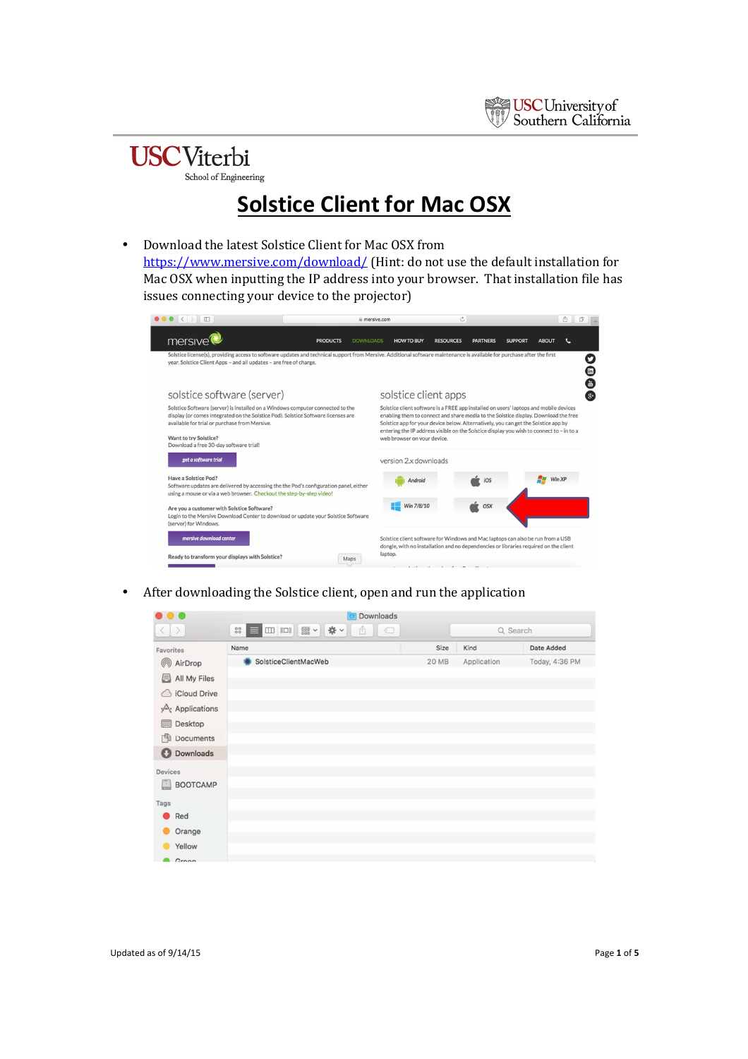## **USC**Viterbi School of Engineering

## **Solstice Client for Mac OSX**

• Download the latest Solstice Client for Mac OSX from https://www.mersive.com/download/ (Hint: do not use the default installation for Mac OSX when inputting the IP address into your browser. That installation file has issues connecting your device to the projector)

| 盯                                                                                                                                                                                                                                             |                                                                                                                                                                     | mersive.com      |                                                                                                                                                                                    | Ò                                                                                                                                                                                                                                                                                                                                                              |                 |                |              | ô<br>ō |
|-----------------------------------------------------------------------------------------------------------------------------------------------------------------------------------------------------------------------------------------------|---------------------------------------------------------------------------------------------------------------------------------------------------------------------|------------------|------------------------------------------------------------------------------------------------------------------------------------------------------------------------------------|----------------------------------------------------------------------------------------------------------------------------------------------------------------------------------------------------------------------------------------------------------------------------------------------------------------------------------------------------------------|-----------------|----------------|--------------|--------|
| mersive                                                                                                                                                                                                                                       | <b>PRODUCTS</b>                                                                                                                                                     | <b>DOWNLOADS</b> | <b>HOW TO BUY</b>                                                                                                                                                                  | <b>RESOURCES</b>                                                                                                                                                                                                                                                                                                                                               | <b>PARTNERS</b> | <b>SUPPORT</b> | <b>ABOUT</b> |        |
| Solstice license(s), providing access to software updates and technical support from Mersive. Additional software maintenance is available for purchase after the first<br>year. Solstice Client Apps - and all updates - are free of charge. |                                                                                                                                                                     |                  |                                                                                                                                                                                    |                                                                                                                                                                                                                                                                                                                                                                |                 |                |              |        |
| solstice software (server)                                                                                                                                                                                                                    |                                                                                                                                                                     |                  | solstice client apps                                                                                                                                                               |                                                                                                                                                                                                                                                                                                                                                                |                 |                |              |        |
| available for trial or purchase from Mersive.                                                                                                                                                                                                 | Solstice Software (server) is installed on a Windows computer connected to the<br>display (or comes integrated on the Solstice Pod). Solstice Software licenses are |                  |                                                                                                                                                                                    | Solstice client software is a FREE app installed on users' laptops and mobile devices<br>enabling them to connect and share media to the Solstice display. Download the free<br>Solstice app for your device below. Alternatively, you can get the Solstice app by<br>entering the IP address visible on the Solstice display you wish to connect to - in to a |                 |                |              |        |
| Want to try Solstice?<br>Download a free 30-day software trial!                                                                                                                                                                               |                                                                                                                                                                     |                  | web browser on your device.                                                                                                                                                        |                                                                                                                                                                                                                                                                                                                                                                |                 |                |              |        |
| get a software trial                                                                                                                                                                                                                          |                                                                                                                                                                     |                  | version 2.x downloads                                                                                                                                                              |                                                                                                                                                                                                                                                                                                                                                                |                 |                |              |        |
| Have a Solstice Pod?<br>Software updates are delivered by accessing the the Pod's configuration panel, either<br>using a mouse or via a web browser. Checkout the step-by-step video!                                                         |                                                                                                                                                                     |                  | Android                                                                                                                                                                            |                                                                                                                                                                                                                                                                                                                                                                | iOS             |                |              | Win XP |
| Are you a customer with Solstice Software?<br>Login to the Mersive Download Center to download or update your Solstice Software<br>(server) for Windows.                                                                                      |                                                                                                                                                                     |                  | Win 7/8/10                                                                                                                                                                         |                                                                                                                                                                                                                                                                                                                                                                | OSX             |                |              |        |
| mersive download center<br>Ready to transform your displays with Solstice?                                                                                                                                                                    |                                                                                                                                                                     | Maps             | Solstice client software for Windows and Mac laptops can also be run from a USB<br>dongle, with no installation and no dependencies or libraries required on the client<br>laptop. |                                                                                                                                                                                                                                                                                                                                                                |                 |                |              |        |

• After downloading the Solstice client, open and run the application

| $\circ$ $\circ$                      | Downloads<br>$\circ$               |              |             |                   |  |
|--------------------------------------|------------------------------------|--------------|-------------|-------------------|--|
| $\,$<br>$\left\langle \right\rangle$ | 圖 > 拳 ∨<br>88<br>Å<br>E<br>$\odot$ |              | Q Search    |                   |  |
| Favorites                            | Name                               | Size         | Kind        | <b>Date Added</b> |  |
| @ AirDrop                            | SolsticeClientMacWeb               | <b>20 MB</b> | Application | Today, 4:36 PM    |  |
| All My Files                         |                                    |              |             |                   |  |
| coud Drive                           |                                    |              |             |                   |  |
| Applications                         |                                    |              |             |                   |  |
| Desktop<br>$\overline{\phantom{a}}$  |                                    |              |             |                   |  |
| 門<br><b>Documents</b>                |                                    |              |             |                   |  |
| <b>O</b> Downloads                   |                                    |              |             |                   |  |
| <b>Devices</b>                       |                                    |              |             |                   |  |
| O<br><b>BOOTCAMP</b>                 |                                    |              |             |                   |  |
| Tags                                 |                                    |              |             |                   |  |
| Red                                  |                                    |              |             |                   |  |
| Orange                               |                                    |              |             |                   |  |
| Yellow                               |                                    |              |             |                   |  |
| Croon                                |                                    |              |             |                   |  |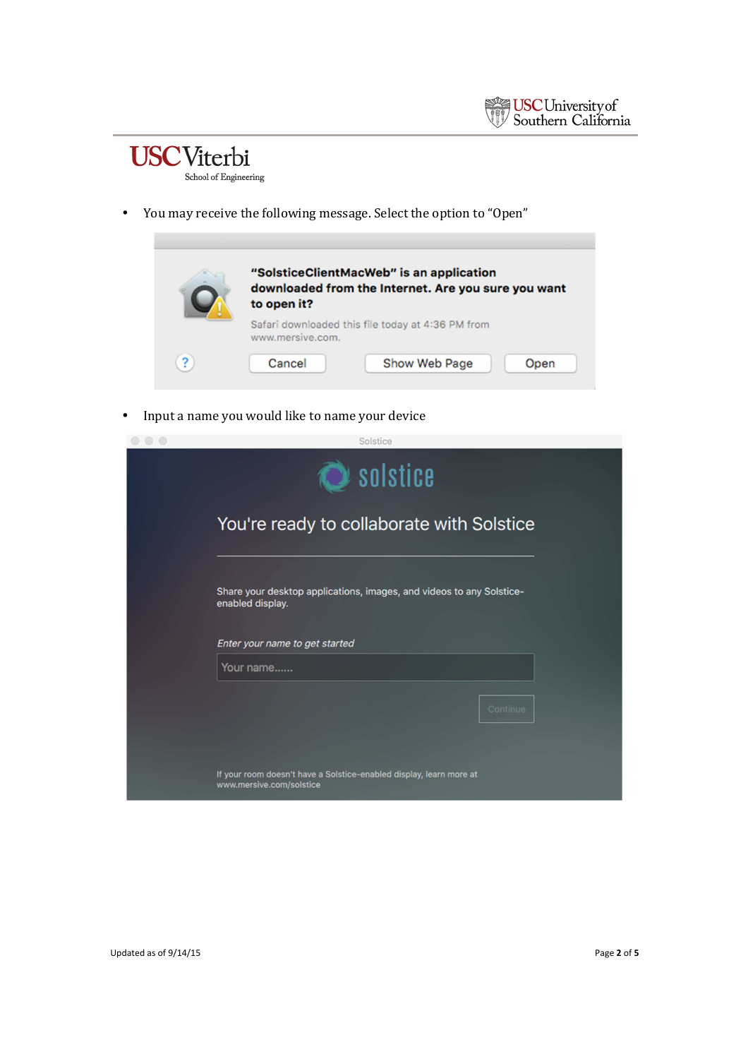



• You may receive the following message. Select the option to "Open"



• Input a name you would like to name your device

| $\circ$ $\circ$ | Solstice                                                                                        |  |  |  |  |
|-----------------|-------------------------------------------------------------------------------------------------|--|--|--|--|
|                 | solstice<br>$\mathbf{\Omega}$                                                                   |  |  |  |  |
|                 | You're ready to collaborate with Solstice                                                       |  |  |  |  |
|                 | Share your desktop applications, images, and videos to any Solstice-<br>enabled display.        |  |  |  |  |
|                 | Enter your name to get started                                                                  |  |  |  |  |
|                 | Your name                                                                                       |  |  |  |  |
|                 | Continue                                                                                        |  |  |  |  |
|                 | If your room doesn't have a Solstice-enabled display, learn more at<br>www.mersive.com/solstice |  |  |  |  |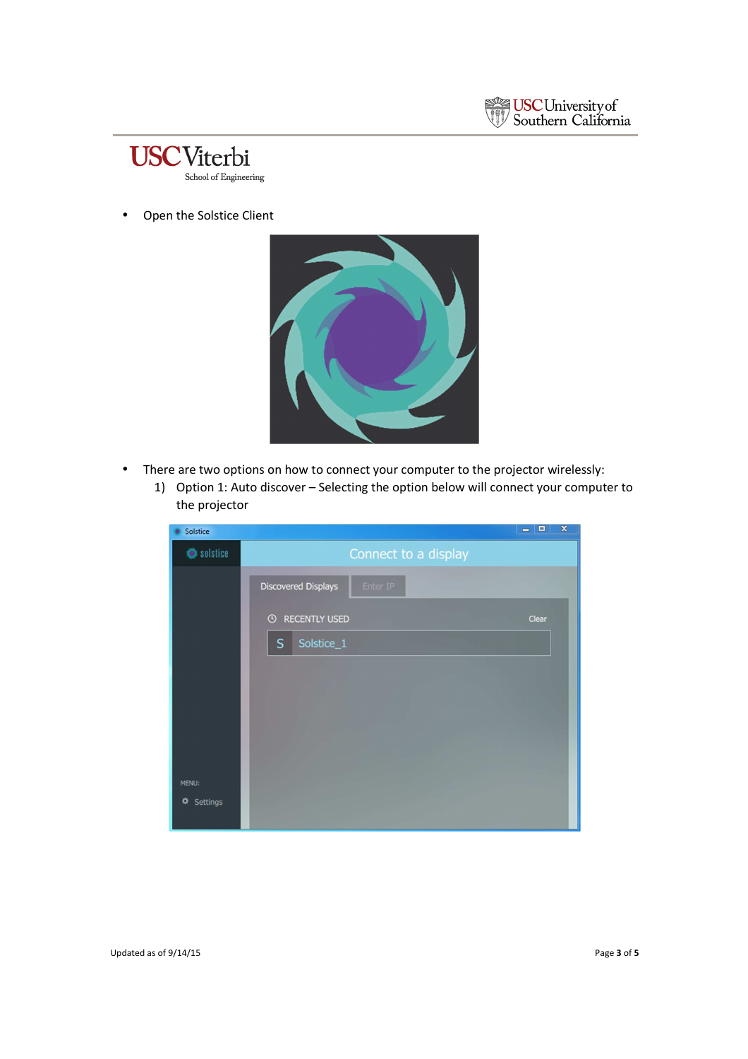



• Open the Solstice Client



- There are two options on how to connect your computer to the projector wirelessly:
	- 1) Option 1: Auto discover Selecting the option below will connect your computer to the projector

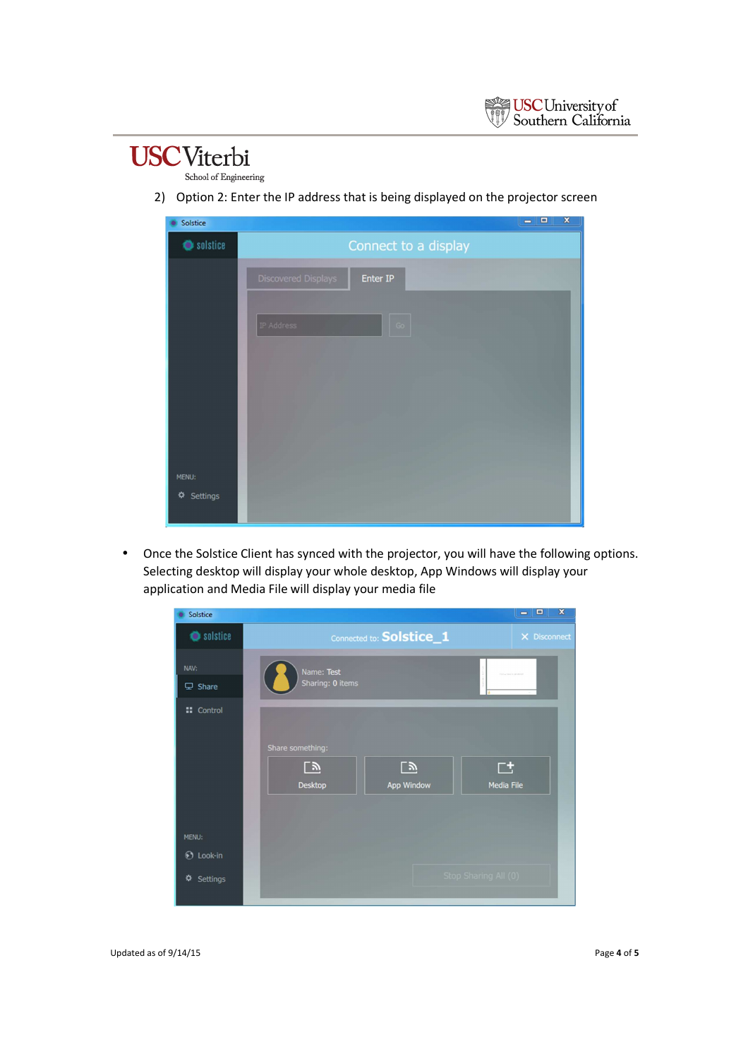## **USC**Viterbi

School of Engineering

2) Option 2: Enter the IP address that is being displayed on the projector screen

| Solstice      |                                 | ▣<br>$\blacksquare$ | $\mathbf{x}$ |
|---------------|---------------------------------|---------------------|--------------|
| Solstice      | Connect to a display            |                     |              |
|               | Discovered Displays<br>Enter IP |                     |              |
|               | IP Address<br>Go                |                     |              |
|               |                                 |                     |              |
|               |                                 |                     |              |
|               |                                 |                     |              |
| MENU:         |                                 |                     |              |
| ⋫<br>Settings |                                 |                     |              |

• Once the Solstice Client has synced with the projector, you will have the following options. Selecting desktop will display your whole desktop, App Windows will display your application and Media File will display your media file

| Solstice          |                                                                                                    | $\mathbf{x}$<br>Ξ<br>$\equiv$ |
|-------------------|----------------------------------------------------------------------------------------------------|-------------------------------|
| Solstice          | Connected to: Solstice_1                                                                           | X Disconnect                  |
| NAV:              | Name: Test                                                                                         |                               |
| $\Box$ Share      | Sharing: 0 items                                                                                   |                               |
| <b>::</b> Control | Share something:<br>吐<br><u>್</u><br><u>ு</u><br><b>Desktop</b><br><b>Media File</b><br>App Window |                               |
| <b>MENU:</b>      |                                                                                                    |                               |
| <b>1</b> Look-in  |                                                                                                    |                               |
| ☆<br>Settings     | Stop Sharing All (0)                                                                               |                               |